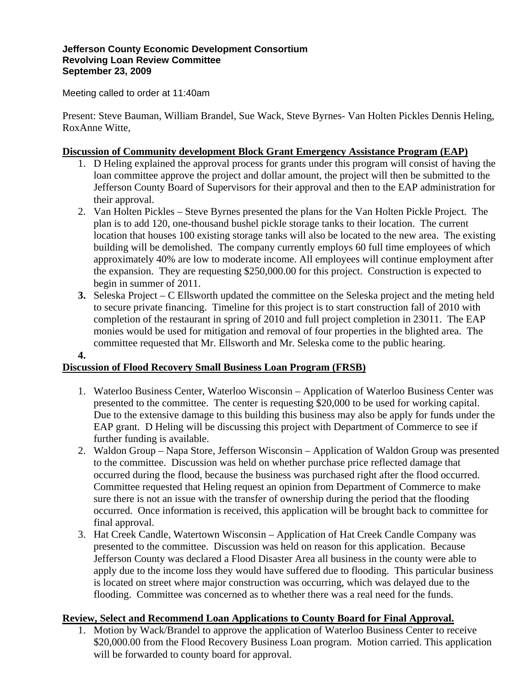#### **Jefferson County Economic Development Consortium Revolving Loan Review Committee September 23, 2009**

Meeting called to order at 11:40am

Present: Steve Bauman, William Brandel, Sue Wack, Steve Byrnes- Van Holten Pickles Dennis Heling, RoxAnne Witte,

### **Discussion of Community development Block Grant Emergency Assistance Program (EAP)**

- 1. D Heling explained the approval process for grants under this program will consist of having the loan committee approve the project and dollar amount, the project will then be submitted to the Jefferson County Board of Supervisors for their approval and then to the EAP administration for their approval.
- 2. Van Holten Pickles Steve Byrnes presented the plans for the Van Holten Pickle Project. The plan is to add 120, one-thousand bushel pickle storage tanks to their location. The current location that houses 100 existing storage tanks will also be located to the new area. The existing building will be demolished. The company currently employs 60 full time employees of which approximately 40% are low to moderate income. All employees will continue employment after the expansion. They are requesting \$250,000.00 for this project. Construction is expected to begin in summer of 2011.
- **3.** Seleska Project C Ellsworth updated the committee on the Seleska project and the meting held to secure private financing. Timeline for this project is to start construction fall of 2010 with completion of the restaurant in spring of 2010 and full project completion in 23011. The EAP monies would be used for mitigation and removal of four properties in the blighted area. The committee requested that Mr. Ellsworth and Mr. Seleska come to the public hearing.

### **4.**

# **Discussion of Flood Recovery Small Business Loan Program (FRSB)**

- 1. Waterloo Business Center, Waterloo Wisconsin Application of Waterloo Business Center was presented to the committee. The center is requesting \$20,000 to be used for working capital. Due to the extensive damage to this building this business may also be apply for funds under the EAP grant. D Heling will be discussing this project with Department of Commerce to see if further funding is available.
- 2. Waldon Group Napa Store, Jefferson Wisconsin Application of Waldon Group was presented to the committee. Discussion was held on whether purchase price reflected damage that occurred during the flood, because the business was purchased right after the flood occurred. Committee requested that Heling request an opinion from Department of Commerce to make sure there is not an issue with the transfer of ownership during the period that the flooding occurred. Once information is received, this application will be brought back to committee for final approval.
- 3. Hat Creek Candle, Watertown Wisconsin Application of Hat Creek Candle Company was presented to the committee. Discussion was held on reason for this application. Because Jefferson County was declared a Flood Disaster Area all business in the county were able to apply due to the income loss they would have suffered due to flooding. This particular business is located on street where major construction was occurring, which was delayed due to the flooding. Committee was concerned as to whether there was a real need for the funds.

# **Review, Select and Recommend Loan Applications to County Board for Final Approval.**

1. Motion by Wack/Brandel to approve the application of Waterloo Business Center to receive \$20,000.00 from the Flood Recovery Business Loan program. Motion carried. This application will be forwarded to county board for approval.